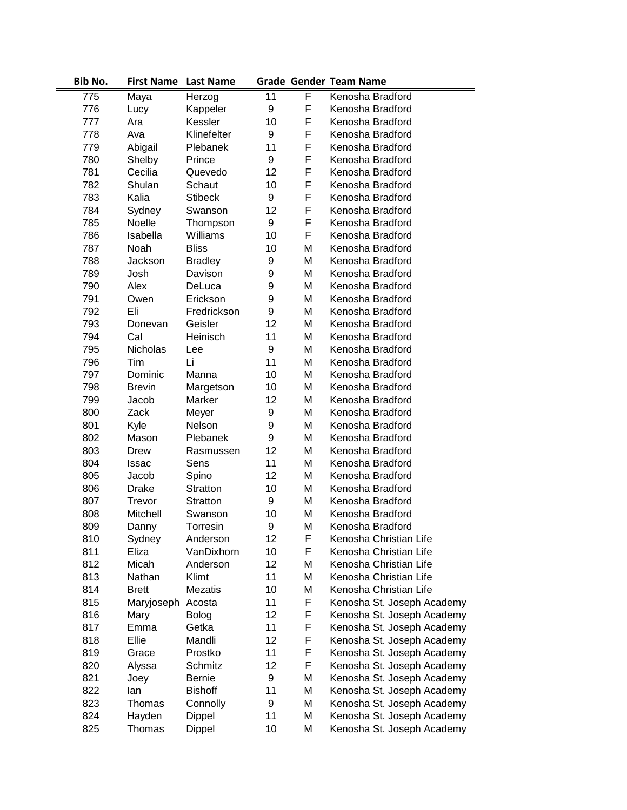| Bib No. | <b>First Name</b> | <b>Last Name</b> |    |   | <b>Grade Gender Team Name</b> |
|---------|-------------------|------------------|----|---|-------------------------------|
| 775     | Maya              | Herzog           | 11 | F | Kenosha Bradford              |
| 776     | Lucy              | Kappeler         | 9  | F | Kenosha Bradford              |
| 777     | Ara               | Kessler          | 10 | F | Kenosha Bradford              |
| 778     | Ava               | Klinefelter      | 9  | F | Kenosha Bradford              |
| 779     | Abigail           | Plebanek         | 11 | F | Kenosha Bradford              |
| 780     | Shelby            | Prince           | 9  | F | Kenosha Bradford              |
| 781     | Cecilia           | Quevedo          | 12 | F | Kenosha Bradford              |
| 782     | Shulan            | Schaut           | 10 | F | Kenosha Bradford              |
| 783     | Kalia             | <b>Stibeck</b>   | 9  | F | Kenosha Bradford              |
| 784     | Sydney            | Swanson          | 12 | F | Kenosha Bradford              |
| 785     | Noelle            | Thompson         | 9  | F | Kenosha Bradford              |
| 786     | Isabella          | Williams         | 10 | F | Kenosha Bradford              |
| 787     | Noah              | <b>Bliss</b>     | 10 | M | Kenosha Bradford              |
| 788     | Jackson           | <b>Bradley</b>   | 9  | Μ | Kenosha Bradford              |
| 789     | Josh              | Davison          | 9  | Μ | Kenosha Bradford              |
| 790     | Alex              | DeLuca           | 9  | Μ | Kenosha Bradford              |
| 791     | Owen              | Erickson         | 9  | Μ | Kenosha Bradford              |
| 792     | Eli               | Fredrickson      | 9  | Μ | Kenosha Bradford              |
| 793     | Donevan           | Geisler          | 12 | M | Kenosha Bradford              |
| 794     | Cal               | Heinisch         | 11 | Μ | Kenosha Bradford              |
| 795     | Nicholas          | Lee              | 9  | Μ | Kenosha Bradford              |
| 796     | Tim               | Li               | 11 | Μ | Kenosha Bradford              |
| 797     | Dominic           | Manna            | 10 | Μ | Kenosha Bradford              |
| 798     | <b>Brevin</b>     | Margetson        | 10 | Μ | Kenosha Bradford              |
| 799     | Jacob             | Marker           | 12 | Μ | Kenosha Bradford              |
| 800     | Zack              | Meyer            | 9  | Μ | Kenosha Bradford              |
| 801     | Kyle              | Nelson           | 9  | Μ | Kenosha Bradford              |
| 802     | Mason             | Plebanek         | 9  | Μ | Kenosha Bradford              |
| 803     | Drew              | Rasmussen        | 12 | М | Kenosha Bradford              |
| 804     | <b>Issac</b>      | Sens             | 11 | М | Kenosha Bradford              |
| 805     | Jacob             | Spino            | 12 | Μ | Kenosha Bradford              |
| 806     | Drake             | Stratton         | 10 | Μ | Kenosha Bradford              |
| 807     | Trevor            | <b>Stratton</b>  | 9  | М | Kenosha Bradford              |
| 808     | Mitchell          | Swanson          | 10 | Μ | Kenosha Bradford              |
| 809     | Danny             | Torresin         | 9  | Μ | Kenosha Bradford              |
| 810     | Sydney            | Anderson         | 12 | F | Kenosha Christian Life        |
| 811     | Eliza             | VanDixhorn       | 10 | F | Kenosha Christian Life        |
| 812     | Micah             | Anderson         | 12 | Μ | Kenosha Christian Life        |
| 813     | Nathan            | Klimt            | 11 | M | Kenosha Christian Life        |
| 814     | <b>Brett</b>      | <b>Mezatis</b>   | 10 | Μ | Kenosha Christian Life        |
| 815     | Maryjoseph        | Acosta           | 11 | F | Kenosha St. Joseph Academy    |
| 816     | Mary              | <b>Bolog</b>     | 12 | F | Kenosha St. Joseph Academy    |
| 817     | Emma              | Getka            | 11 | F | Kenosha St. Joseph Academy    |
| 818     | Ellie             | Mandli           | 12 | F | Kenosha St. Joseph Academy    |
| 819     | Grace             | Prostko          | 11 | F | Kenosha St. Joseph Academy    |
| 820     | Alyssa            | Schmitz          | 12 | F | Kenosha St. Joseph Academy    |
| 821     | Joey              | Bernie           | 9  | М | Kenosha St. Joseph Academy    |
| 822     | lan               | <b>Bishoff</b>   | 11 | Μ | Kenosha St. Joseph Academy    |
| 823     | Thomas            | Connolly         | 9  | М | Kenosha St. Joseph Academy    |
| 824     | Hayden            | Dippel           | 11 | Μ | Kenosha St. Joseph Academy    |
| 825     | Thomas            | Dippel           | 10 | Μ | Kenosha St. Joseph Academy    |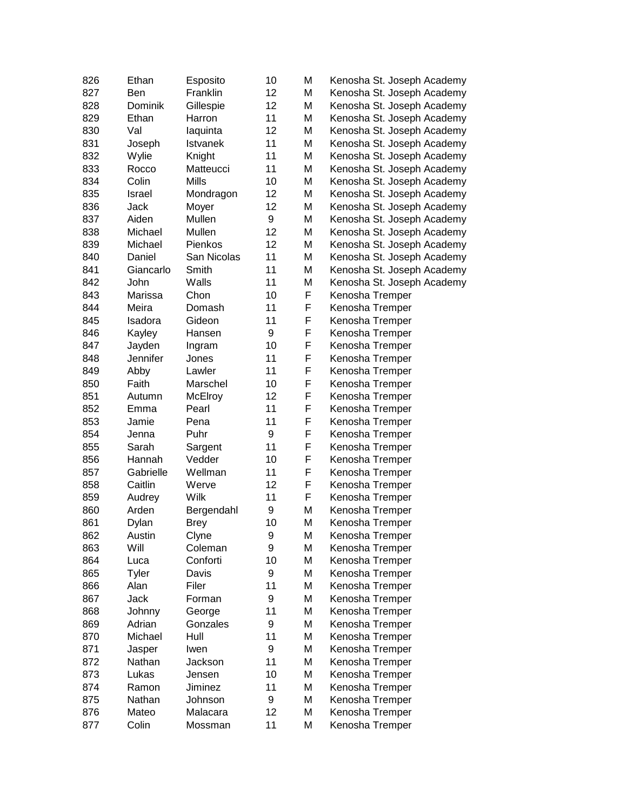| 826 | Ethan         | Esposito        | 10       | M | Kenosha St. Joseph Academy |
|-----|---------------|-----------------|----------|---|----------------------------|
| 827 | <b>Ben</b>    | Franklin        | 12       | M | Kenosha St. Joseph Academy |
| 828 | Dominik       | Gillespie       | 12       | M | Kenosha St. Joseph Academy |
| 829 | Ethan         | Harron          | 11       | M | Kenosha St. Joseph Academy |
| 830 | Val           | laquinta        | 12       | M | Kenosha St. Joseph Academy |
| 831 | Joseph        | <b>Istvanek</b> | 11       | M | Kenosha St. Joseph Academy |
| 832 | Wylie         | Knight          | 11       | M | Kenosha St. Joseph Academy |
| 833 | Rocco         | Matteucci       | 11       | M | Kenosha St. Joseph Academy |
| 834 | Colin         | <b>Mills</b>    | 10       | M | Kenosha St. Joseph Academy |
| 835 | <b>Israel</b> | Mondragon       | 12       | M | Kenosha St. Joseph Academy |
| 836 | Jack          | Moyer           | 12       | M | Kenosha St. Joseph Academy |
| 837 | Aiden         | Mullen          | 9        | M | Kenosha St. Joseph Academy |
| 838 | Michael       | Mullen          | 12       | M | Kenosha St. Joseph Academy |
| 839 | Michael       | <b>Pienkos</b>  | 12       | M | Kenosha St. Joseph Academy |
| 840 | Daniel        | San Nicolas     | 11       | M | Kenosha St. Joseph Academy |
| 841 | Giancarlo     | Smith           | 11       | M | Kenosha St. Joseph Academy |
| 842 | John          | Walls           | 11       | M | Kenosha St. Joseph Academy |
| 843 | Marissa       | Chon            | 10       | F | Kenosha Tremper            |
| 844 | Meira         | Domash          | 11       | F | Kenosha Tremper            |
| 845 | Isadora       | Gideon          | 11       | F | Kenosha Tremper            |
| 846 | Kayley        | Hansen          | 9        | F | Kenosha Tremper            |
| 847 | Jayden        | Ingram          | 10       | F | Kenosha Tremper            |
| 848 | Jennifer      | Jones           | 11       | F | Kenosha Tremper            |
| 849 | Abby          | Lawler          | 11       | F | Kenosha Tremper            |
| 850 | Faith         | Marschel        | 10       | F | Kenosha Tremper            |
| 851 | Autumn        | McElroy         | 12       | F | Kenosha Tremper            |
| 852 | Emma          | Pearl           | 11       | F | Kenosha Tremper            |
| 853 | Jamie         | Pena            | 11       | F | Kenosha Tremper            |
| 854 | Jenna         | Puhr            | 9        | F | Kenosha Tremper            |
| 855 | Sarah         | Sargent         | 11       | F | Kenosha Tremper            |
| 856 | Hannah        | Vedder          | 10       | F | Kenosha Tremper            |
| 857 | Gabrielle     | Wellman         | 11       | F | Kenosha Tremper            |
| 858 | Caitlin       | Werve           | 12       | F | Kenosha Tremper            |
| 859 | Audrey        | Wilk            | 11       | F | Kenosha Tremper            |
| 860 | Arden         | Bergendahl      | 9        | M | Kenosha Tremper            |
| 861 | Dylan         | <b>Brey</b>     | 10       | M | Kenosha Tremper            |
| 862 | Austin        | Clyne           | 9        | M | Kenosha Tremper            |
| 863 | Will          | Coleman         | 9        | M | Kenosha Tremper            |
| 864 | Luca          | Conforti        | 10       | M | Kenosha Tremper            |
| 865 | <b>Tyler</b>  | Davis           | 9        | M | Kenosha Tremper            |
| 866 | Alan          | Filer           | 11       | M | Kenosha Tremper            |
| 867 | Jack          | Forman          | 9        | M | Kenosha Tremper            |
| 868 | Johnny        | George          | 11       | M | Kenosha Tremper            |
| 869 | Adrian        | Gonzales        | 9        | M | Kenosha Tremper            |
| 870 | Michael       | Hull            | 11       | M | Kenosha Tremper            |
| 871 | Jasper        | Iwen            | 9        | M | Kenosha Tremper            |
| 872 | Nathan        | Jackson         | 11       | M |                            |
|     |               |                 |          |   | Kenosha Tremper            |
| 873 | Lukas         | Jensen          | 10<br>11 | M | Kenosha Tremper            |
| 874 | Ramon         | Jiminez         |          | M | Kenosha Tremper            |
| 875 | Nathan        | Johnson         | 9        | M | Kenosha Tremper            |
| 876 | Mateo         | Malacara        | 12       | M | Kenosha Tremper            |
| 877 | Colin         | Mossman         | 11       | M | Kenosha Tremper            |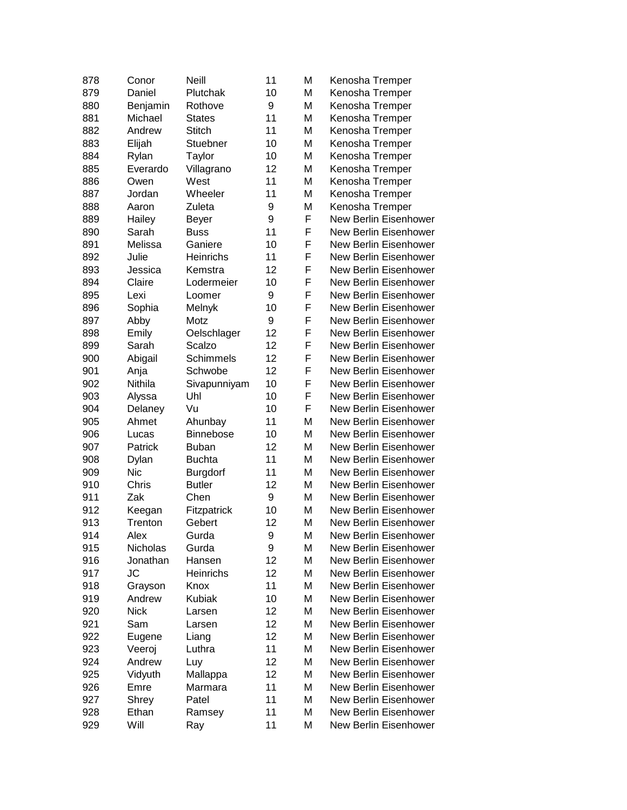| 878 | Conor           | <b>Neill</b>        | 11               | M      | Kenosha Tremper       |
|-----|-----------------|---------------------|------------------|--------|-----------------------|
| 879 | Daniel          | Plutchak            | 10               | M      | Kenosha Tremper       |
| 880 | Benjamin        | Rothove             | 9                | M      | Kenosha Tremper       |
| 881 | Michael         | <b>States</b>       | 11               | M      | Kenosha Tremper       |
| 882 | Andrew          | <b>Stitch</b>       | 11               | M      | Kenosha Tremper       |
| 883 | Elijah          | Stuebner            | 10               | M      | Kenosha Tremper       |
| 884 | Rylan           | Taylor              | 10               | M      | Kenosha Tremper       |
| 885 | Everardo        | Villagrano          | 12               | M      | Kenosha Tremper       |
| 886 | Owen            | West                | 11               | M      | Kenosha Tremper       |
| 887 | Jordan          | Wheeler             | 11               | M      | Kenosha Tremper       |
| 888 | Aaron           | Zuleta              | 9                | M      | Kenosha Tremper       |
| 889 | Hailey          | Beyer               | 9                | F      | New Berlin Eisenhower |
| 890 | Sarah           | <b>Buss</b>         | 11               | F      | New Berlin Eisenhower |
| 891 | Melissa         | Ganiere             | 10               | F      | New Berlin Eisenhower |
| 892 | Julie           | Heinrichs           | 11               | F      | New Berlin Eisenhower |
| 893 | Jessica         | Kemstra             | 12               | F      | New Berlin Eisenhower |
| 894 | Claire          | Lodermeier          | 10               | F      | New Berlin Eisenhower |
| 895 | Lexi            | Loomer              | 9                | F      | New Berlin Eisenhower |
| 896 | Sophia          | Melnyk              | 10               | F      | New Berlin Eisenhower |
| 897 | Abby            | Motz                | 9                | F      | New Berlin Eisenhower |
| 898 | Emily           | Oelschlager         | 12               | F      | New Berlin Eisenhower |
| 899 | Sarah           | Scalzo              | 12               | F      | New Berlin Eisenhower |
| 900 | Abigail         | <b>Schimmels</b>    | 12               | F      | New Berlin Eisenhower |
| 901 | Anja            | Schwobe             | 12               | F      | New Berlin Eisenhower |
| 902 | Nithila         | Sivapunniyam        | 10               | F      | New Berlin Eisenhower |
| 903 | Alyssa          | Uhl                 | 10               | F      | New Berlin Eisenhower |
| 904 | Delaney         | Vu                  | 10               | F      | New Berlin Eisenhower |
| 905 | Ahmet           | Ahunbay             | 11               | M      | New Berlin Eisenhower |
| 906 | Lucas           | Binnebose           | 10               | M      | New Berlin Eisenhower |
| 907 | Patrick         | <b>Buban</b>        | 12               | M      | New Berlin Eisenhower |
| 908 | Dylan           | <b>Buchta</b>       | 11               | M      | New Berlin Eisenhower |
| 909 | <b>Nic</b>      | <b>Burgdorf</b>     | 11               | M      | New Berlin Eisenhower |
| 910 | Chris           | <b>Butler</b>       | 12               | M      | New Berlin Eisenhower |
| 911 | Zak             | Chen                | 9                | M      | New Berlin Eisenhower |
| 912 | Keegan          | Fitzpatrick         | 10               | M      | New Berlin Eisenhower |
| 913 | Trenton         | Gebert              | 12               | M      | New Berlin Eisenhower |
| 914 | Alex            | Gurda               | $\boldsymbol{9}$ | M      | New Berlin Eisenhower |
| 915 | Nicholas        | Gurda               | 9                | M      | New Berlin Eisenhower |
| 916 | Jonathan        | Hansen              | 12               | M      | New Berlin Eisenhower |
| 917 | JС              | Heinrichs           | 12               | M      | New Berlin Eisenhower |
| 918 | Grayson         | Knox                | 11               | M      | New Berlin Eisenhower |
| 919 | Andrew          | <b>Kubiak</b>       | 10               | M      | New Berlin Eisenhower |
| 920 | <b>Nick</b>     | Larsen              | 12               | M      | New Berlin Eisenhower |
| 921 | Sam             | Larsen              | 12               | M      | New Berlin Eisenhower |
| 922 | Eugene          | Liang               | 12               | M      | New Berlin Eisenhower |
| 923 | Veeroj          | Luthra              | 11               | M      | New Berlin Eisenhower |
| 924 | Andrew          | Luy                 | 12               | M      | New Berlin Eisenhower |
| 925 |                 |                     | 12               | Μ      | New Berlin Eisenhower |
| 926 | Vidyuth<br>Emre | Mallappa<br>Marmara | 11               | Μ      | New Berlin Eisenhower |
|     |                 |                     | 11               |        | New Berlin Eisenhower |
| 927 | Shrey<br>Ethan  | Patel               | 11               | M<br>M | New Berlin Eisenhower |
| 928 |                 | Ramsey              |                  |        |                       |
| 929 | Will            | Ray                 | 11               | M      | New Berlin Eisenhower |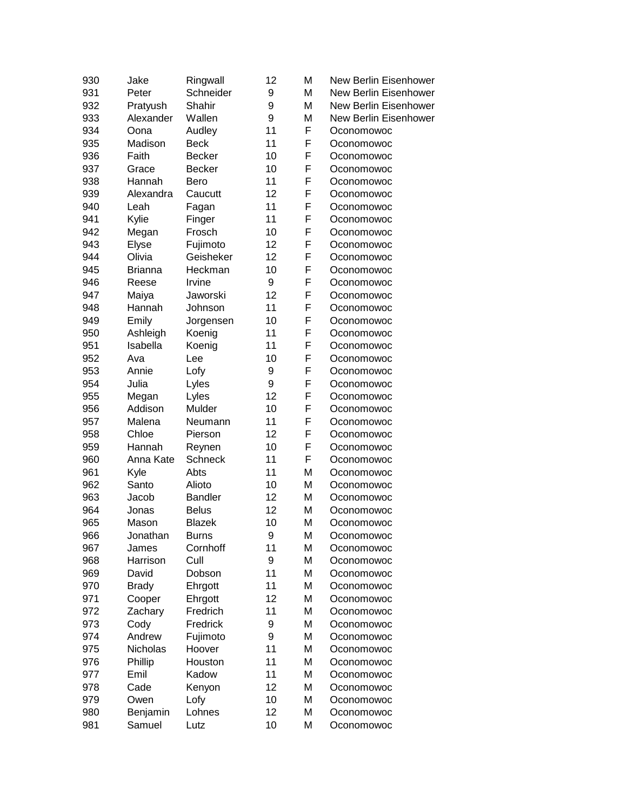| 930 | Jake           | Ringwall       | 12 | M | New Berlin Eisenhower        |
|-----|----------------|----------------|----|---|------------------------------|
| 931 | Peter          | Schneider      | 9  | M | <b>New Berlin Eisenhower</b> |
| 932 | Pratyush       | Shahir         | 9  | M | New Berlin Eisenhower        |
| 933 | Alexander      | Wallen         | 9  | M | New Berlin Eisenhower        |
| 934 | Oona           | Audley         | 11 | F | Oconomowoc                   |
| 935 | Madison        | <b>Beck</b>    | 11 | F | Oconomowoc                   |
| 936 | Faith          | <b>Becker</b>  | 10 | F | Oconomowoc                   |
| 937 | Grace          | <b>Becker</b>  | 10 | F | Oconomowoc                   |
| 938 | Hannah         | Bero           | 11 | F | Oconomowoc                   |
| 939 | Alexandra      | Caucutt        | 12 | F | Oconomowoc                   |
| 940 | Leah           | Fagan          | 11 | F | Oconomowoc                   |
| 941 | Kylie          | Finger         | 11 | F | Oconomowoc                   |
| 942 | Megan          | Frosch         | 10 | F | Oconomowoc                   |
| 943 | Elyse          | Fujimoto       | 12 | F | Oconomowoc                   |
| 944 | Olivia         | Geisheker      | 12 | F | Oconomowoc                   |
| 945 | <b>Brianna</b> | Heckman        | 10 | F | Oconomowoc                   |
| 946 | Reese          | Irvine         | 9  | F | Oconomowoc                   |
| 947 | Maiya          | Jaworski       | 12 | F | Oconomowoc                   |
| 948 | Hannah         | Johnson        | 11 | F | Oconomowoc                   |
| 949 | Emily          | Jorgensen      | 10 | F | Oconomowoc                   |
| 950 | Ashleigh       | Koenig         | 11 | F | Oconomowoc                   |
| 951 | Isabella       | Koenig         | 11 | F | Oconomowoc                   |
| 952 | Ava            | Lee            | 10 | F | Oconomowoc                   |
| 953 | Annie          | Lofy           | 9  | F | Oconomowoc                   |
| 954 | Julia          | Lyles          | 9  | F | Oconomowoc                   |
| 955 | Megan          | Lyles          | 12 | F | Oconomowoc                   |
| 956 | Addison        | Mulder         | 10 | F | Oconomowoc                   |
| 957 | Malena         | Neumann        | 11 | F | Oconomowoc                   |
| 958 | Chloe          | Pierson        | 12 | F | Oconomowoc                   |
| 959 | Hannah         | Reynen         | 10 | F | Oconomowoc                   |
| 960 | Anna Kate      | <b>Schneck</b> | 11 | F | Oconomowoc                   |
| 961 | Kyle           | Abts           | 11 | M | Oconomowoc                   |
| 962 | Santo          | Alioto         | 10 | M | Oconomowoc                   |
| 963 | Jacob          | <b>Bandler</b> | 12 | M | Oconomowoc                   |
| 964 | Jonas          | <b>Belus</b>   | 12 | M | Oconomowoc                   |
| 965 | Mason          | <b>Blazek</b>  | 10 | M | Oconomowoc                   |
| 966 | Jonathan       | Burns          | 9  | M | Oconomowoc                   |
| 967 | James          | Cornhoff       | 11 | M | Oconomowoc                   |
| 968 | Harrison       | Cull           | 9  | M | Oconomowoc                   |
| 969 | David          | Dobson         | 11 | M | Oconomowoc                   |
| 970 | <b>Brady</b>   | Ehrgott        | 11 | M | Oconomowoc                   |
| 971 | Cooper         | Ehrgott        | 12 | M | Oconomowoc                   |
| 972 | Zachary        | Fredrich       | 11 | M | Oconomowoc                   |
| 973 | Cody           | Fredrick       | 9  | M | Oconomowoc                   |
| 974 | Andrew         | Fujimoto       | 9  | M | Oconomowoc                   |
| 975 | Nicholas       | Hoover         | 11 | M | Oconomowoc                   |
| 976 | Phillip        | Houston        | 11 | M | Oconomowoc                   |
| 977 | Emil           | Kadow          | 11 | M |                              |
| 978 | Cade           | Kenyon         | 12 | M | Oconomowoc                   |
| 979 | Owen           | Lofy           | 10 | M | Oconomowoc                   |
| 980 |                | Lohnes         | 12 | M | Oconomowoc                   |
|     | Benjamin       |                |    |   | Oconomowoc                   |
| 981 | Samuel         | Lutz           | 10 | M | Oconomowoc                   |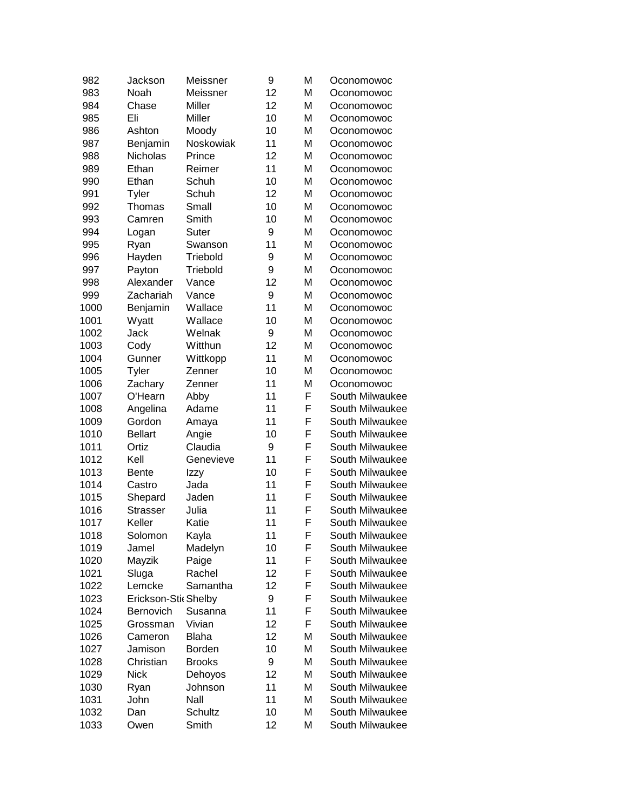| 982  | Jackson              | Meissner      | 9  | M | Oconomowoc      |
|------|----------------------|---------------|----|---|-----------------|
| 983  | Noah                 | Meissner      | 12 | М | Oconomowoc      |
| 984  | Chase                | Miller        | 12 | M | Oconomowoc      |
| 985  | Eli                  | Miller        | 10 | М | Oconomowoc      |
| 986  | Ashton               | Moody         | 10 | M | Oconomowoc      |
| 987  | Benjamin             | Noskowiak     | 11 | M | Oconomowoc      |
| 988  | Nicholas             | Prince        | 12 | M | Oconomowoc      |
| 989  | Ethan                | Reimer        | 11 | M | Oconomowoc      |
| 990  | Ethan                | Schuh         | 10 | M | Oconomowoc      |
| 991  | Tyler                | Schuh         | 12 | М | Oconomowoc      |
| 992  | Thomas               | Small         | 10 | M | Oconomowoc      |
| 993  | Camren               | Smith         | 10 | M | Oconomowoc      |
| 994  | Logan                | Suter         | 9  | M | Oconomowoc      |
| 995  | Ryan                 | Swanson       | 11 | М | Oconomowoc      |
| 996  | Hayden               | Triebold      | 9  | M | Oconomowoc      |
| 997  | Payton               | Triebold      | 9  | M | Oconomowoc      |
| 998  | Alexander            | Vance         | 12 | M | Oconomowoc      |
| 999  | Zachariah            | Vance         | 9  | M | Oconomowoc      |
| 1000 | Benjamin             | Wallace       | 11 | M | Oconomowoc      |
| 1001 | Wyatt                | Wallace       | 10 | M | Oconomowoc      |
| 1002 | Jack                 | Welnak        | 9  | M | Oconomowoc      |
| 1003 | Cody                 | Witthun       | 12 | M | Oconomowoc      |
| 1004 | Gunner               | Wittkopp      | 11 | M | Oconomowoc      |
| 1005 | Tyler                | Zenner        | 10 | M | Oconomowoc      |
| 1006 | Zachary              | Zenner        | 11 | M | Oconomowoc      |
| 1007 | O'Hearn              | Abby          | 11 | F | South Milwaukee |
| 1008 | Angelina             | Adame         | 11 | F | South Milwaukee |
| 1009 | Gordon               | Amaya         | 11 | F | South Milwaukee |
| 1010 | <b>Bellart</b>       | Angie         | 10 | F | South Milwaukee |
| 1011 | Ortiz                | Claudia       | 9  | F | South Milwaukee |
| 1012 | Kell                 | Genevieve     | 11 | F | South Milwaukee |
| 1013 | <b>Bente</b>         | Izzy          | 10 | F | South Milwaukee |
| 1014 | Castro               | Jada          | 11 | F | South Milwaukee |
| 1015 | Shepard              | Jaden         | 11 | F | South Milwaukee |
| 1016 | <b>Strasser</b>      | Julia         | 11 | F | South Milwaukee |
| 1017 | Keller               | Katie         | 11 | F | South Milwaukee |
| 1018 | Solomon              | Kayla         | 11 | F | South Milwaukee |
| 1019 | Jamel                | Madelyn       | 10 | F | South Milwaukee |
| 1020 | Mayzik               | Paige         | 11 | F | South Milwaukee |
| 1021 | Sluga                | Rachel        | 12 | F | South Milwaukee |
| 1022 | Lemcke               | Samantha      | 12 | F | South Milwaukee |
| 1023 | Erickson-Stic Shelby |               | 9  | F | South Milwaukee |
| 1024 | Bernovich            | Susanna       | 11 | F | South Milwaukee |
| 1025 | Grossman             | Vivian        | 12 | F | South Milwaukee |
| 1026 | Cameron              | <b>Blaha</b>  | 12 | М | South Milwaukee |
| 1027 | Jamison              | Borden        | 10 | M | South Milwaukee |
| 1028 | Christian            | <b>Brooks</b> | 9  | Μ | South Milwaukee |
| 1029 | <b>Nick</b>          | Dehoyos       | 12 | Μ | South Milwaukee |
| 1030 | Ryan                 | Johnson       | 11 | Μ | South Milwaukee |
| 1031 | John                 | Nall          | 11 | M | South Milwaukee |
| 1032 | Dan                  | Schultz       | 10 | Μ | South Milwaukee |
| 1033 | Owen                 | Smith         | 12 | M | South Milwaukee |
|      |                      |               |    |   |                 |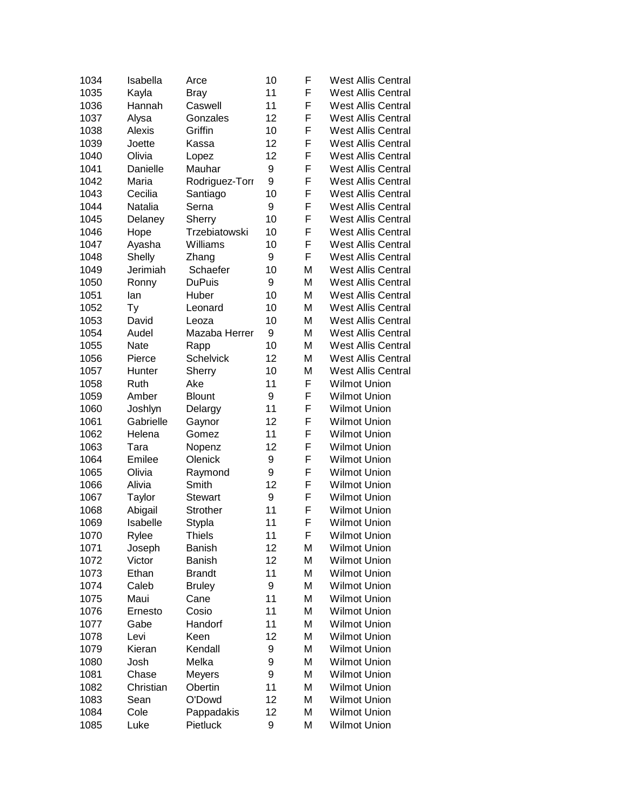| 1034 | Isabella    | Arce             | 10 | F | West Allis Central        |
|------|-------------|------------------|----|---|---------------------------|
| 1035 | Kayla       | <b>Bray</b>      | 11 | F | <b>West Allis Central</b> |
| 1036 | Hannah      | Caswell          | 11 | F | <b>West Allis Central</b> |
| 1037 | Alysa       | Gonzales         | 12 | F | <b>West Allis Central</b> |
| 1038 | Alexis      | Griffin          | 10 | F | <b>West Allis Central</b> |
| 1039 | Joette      | Kassa            | 12 | F | <b>West Allis Central</b> |
| 1040 | Olivia      | Lopez            | 12 | F | <b>West Allis Central</b> |
| 1041 | Danielle    | Mauhar           | 9  | F | <b>West Allis Central</b> |
| 1042 | Maria       | Rodriguez-Torr   | 9  | F | <b>West Allis Central</b> |
| 1043 | Cecilia     | Santiago         | 10 | F | <b>West Allis Central</b> |
| 1044 | Natalia     | Serna            | 9  | F | <b>West Allis Central</b> |
| 1045 | Delaney     | Sherry           | 10 | F | <b>West Allis Central</b> |
| 1046 | Hope        | Trzebiatowski    | 10 | F | <b>West Allis Central</b> |
| 1047 | Ayasha      | Williams         | 10 | F | <b>West Allis Central</b> |
| 1048 | Shelly      | Zhang            | 9  | F | <b>West Allis Central</b> |
| 1049 | Jerimiah    | Schaefer         | 10 | M | <b>West Allis Central</b> |
| 1050 | Ronny       | <b>DuPuis</b>    | 9  | M | <b>West Allis Central</b> |
| 1051 | lan         | Huber            | 10 | M | <b>West Allis Central</b> |
| 1052 | Тy          | Leonard          | 10 | M | <b>West Allis Central</b> |
| 1053 | David       | Leoza            | 10 | M | <b>West Allis Central</b> |
| 1054 | Audel       | Mazaba Herrer    | 9  | M | <b>West Allis Central</b> |
| 1055 | <b>Nate</b> | Rapp             | 10 | M | <b>West Allis Central</b> |
| 1056 | Pierce      | <b>Schelvick</b> | 12 | M | <b>West Allis Central</b> |
| 1057 | Hunter      | Sherry           | 10 | M | <b>West Allis Central</b> |
| 1058 | Ruth        | Ake              | 11 | F | <b>Wilmot Union</b>       |
| 1059 | Amber       | <b>Blount</b>    | 9  | F | <b>Wilmot Union</b>       |
| 1060 | Joshlyn     | Delargy          | 11 | F | <b>Wilmot Union</b>       |
| 1061 | Gabrielle   | Gaynor           | 12 | F | <b>Wilmot Union</b>       |
| 1062 | Helena      | Gomez            | 11 | F | <b>Wilmot Union</b>       |
| 1063 | Tara        | Nopenz           | 12 | F | <b>Wilmot Union</b>       |
| 1064 | Emilee      | Olenick          | 9  | F | <b>Wilmot Union</b>       |
| 1065 | Olivia      | Raymond          | 9  | F | <b>Wilmot Union</b>       |
| 1066 | Alivia      | Smith            | 12 | F | <b>Wilmot Union</b>       |
| 1067 | Taylor      | <b>Stewart</b>   | 9  | F | <b>Wilmot Union</b>       |
| 1068 | Abigail     | Strother         | 11 | F | <b>Wilmot Union</b>       |
| 1069 | Isabelle    | Stypla           | 11 | F | <b>Wilmot Union</b>       |
| 1070 | Rylee       | Thiels           | 11 | F | <b>Wilmot Union</b>       |
| 1071 | Joseph      | <b>Banish</b>    | 12 | M | <b>Wilmot Union</b>       |
| 1072 | Victor      | <b>Banish</b>    | 12 | M | <b>Wilmot Union</b>       |
| 1073 | Ethan       | <b>Brandt</b>    | 11 | M | <b>Wilmot Union</b>       |
| 1074 | Caleb       | <b>Bruley</b>    | 9  | M | <b>Wilmot Union</b>       |
| 1075 | Maui        | Cane             | 11 | M | <b>Wilmot Union</b>       |
| 1076 | Ernesto     | Cosio            | 11 | M | <b>Wilmot Union</b>       |
| 1077 | Gabe        | Handorf          | 11 | M | <b>Wilmot Union</b>       |
| 1078 | Levi        | Keen             | 12 | M | <b>Wilmot Union</b>       |
| 1079 | Kieran      | Kendall          | 9  | M | <b>Wilmot Union</b>       |
| 1080 | Josh        | Melka            | 9  | M | <b>Wilmot Union</b>       |
| 1081 | Chase       | Meyers           | 9  | M | <b>Wilmot Union</b>       |
| 1082 | Christian   | Obertin          | 11 | M | <b>Wilmot Union</b>       |
| 1083 | Sean        | O'Dowd           | 12 | M | <b>Wilmot Union</b>       |
| 1084 | Cole        | Pappadakis       | 12 | M | <b>Wilmot Union</b>       |
| 1085 | Luke        | Pietluck         | 9  | M | <b>Wilmot Union</b>       |
|      |             |                  |    |   |                           |